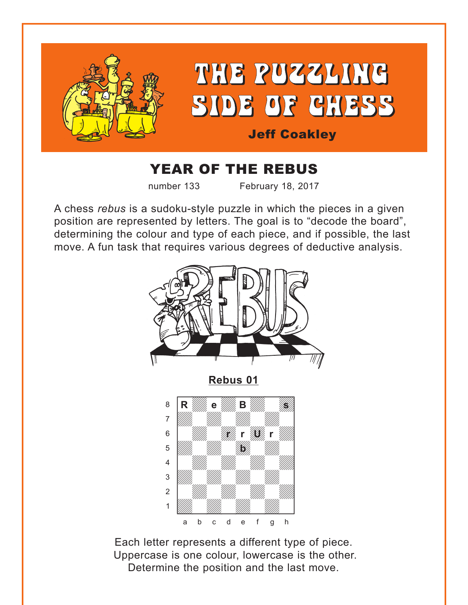<span id="page-0-0"></span>

## YEAR OF THE REBUS

number 133 February 18, 2017

A chess *rebus* is a sudoku-style puzzle in which the pieces in a given position are represented by letters. The goal is to "decode the board", determining the colour and type of each piece, and if possible, the last move. A fun task that requires various degrees of deductive analysis.



Each letter represents a different type of piece. Uppercase is one colour, lowercase is the other. Determine the position and the last move.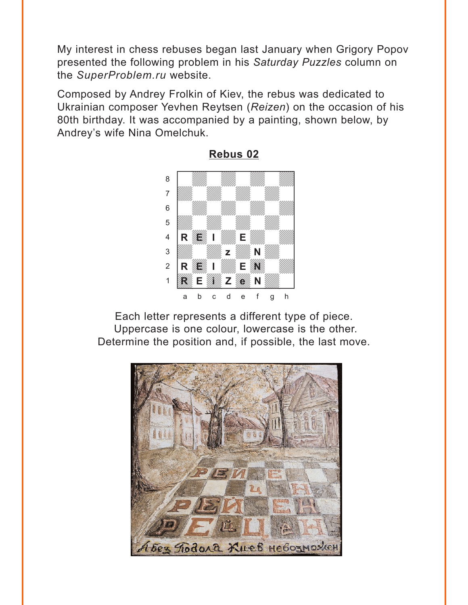<span id="page-1-0"></span>My interest in chess rebuses began last January when Grigory Popov presented the following problem in his *Saturday Puzzles* column on the *SuperProblem.ru* website.

Composed by Andrey Frolkin of Kiev, the rebus was dedicated to Ukrainian composer Yevhen Reytsen (*Reizen*) on the occasion of his 80th birthday. It was accompanied by a painting, shown below, by Andrey's wife Nina Omelchuk.



**[Rebus 02](#page-8-0)**

Each letter represents a different type of piece. Uppercase is one colour, lowercase is the other. Determine the position and, if possible, the last move.

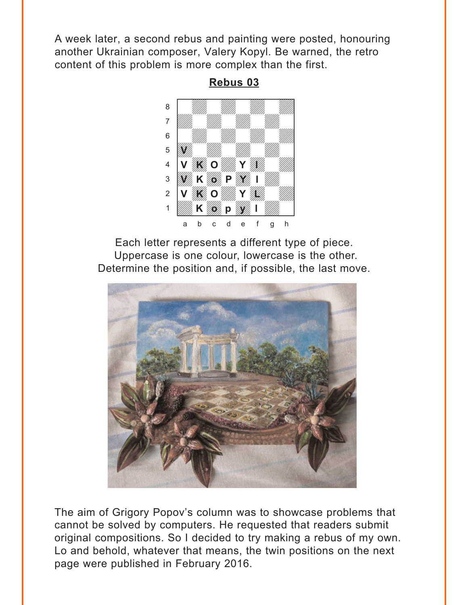<span id="page-2-0"></span>A week later, a second rebus and painting were posted, honouring another Ukrainian composer, Valery Kopyl. Be warned, the retro content of this problem is more complex than the first.

> w\_\_\_\_\_\_\_\_w a ya *mai wa wa* 1972, wa àdwdwdwdw]  $\begin{array}{ccc} \begin{array}{ccc} \text{6} & \text{6} & \text{6} & \text{6} & \text{6} & \text{6} & \text{6} & \text{6} & \text{6} & \text{6} & \text{6} & \text{6} & \text{6} & \text{6} & \text{6} & \text{6} & \text{6} & \text{6} & \text{6} & \text{6} & \text{6} & \text{6} & \text{6} & \text{6} & \text{6} & \text{6} & \text{6} & \text{6} & \text{6} & \text{6} & \text{6} & \text{6} & \text{6} & \text{6} & \text$ **b William Milliam Communication** 4 **V KO WAY WAY** 3 W K G P 1 M 2 V **X** O **WAY** Y **WAY** 1 **Wax 1 Way 1 Way** a b c d e f g h **V K** *W* **P O**  $\mathbb{Z}$ K*opy* p*w*

Each letter represents a different type of piece. Uppercase is one colour, lowercase is the other. Determine the position and, if possible, the last move.



The aim of Grigory Popov's column was to showcase problems that cannot be solved by computers. He requested that readers submit original compositions. So I decided to try making a rebus of my own. Lo and behold, whatever that means, the twin positions on the next page were published in February 2016.

**[Rebus 03](#page-9-0)**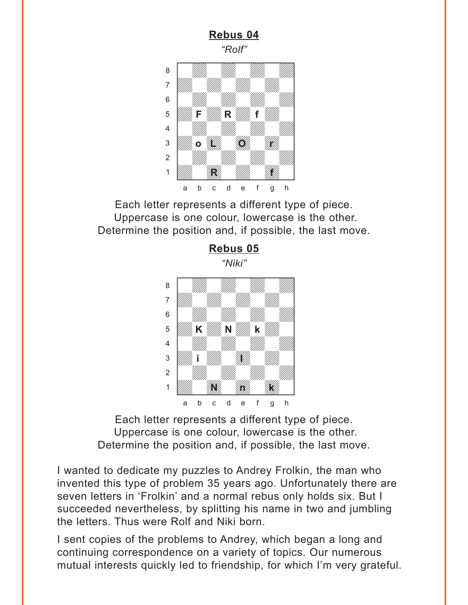<span id="page-3-0"></span>

Each letter represents a different type of piece. Uppercase is one colour, lowercase is the other. Determine the position and, if possible, the last move.

**[Rebus 05](#page-11-0)**



Each letter represents a different type of piece. Uppercase is one colour, lowercase is the other. Determine the position and, if possible, the last move.

I wanted to dedicate my puzzles to Andrey Frolkin, the man who invented this type of problem 35 years ago. Unfortunately there are seven letters in 'Frolkin' and a normal rebus only holds six. But I succeeded nevertheless, by splitting his name in two and jumbling the letters. Thus were Rolf and Niki born.

I sent copies of the problems to Andrey, which began a long and continuing correspondence on a variety of topics. Our numerous mutual interests quickly led to friendship, for which I'm very grateful.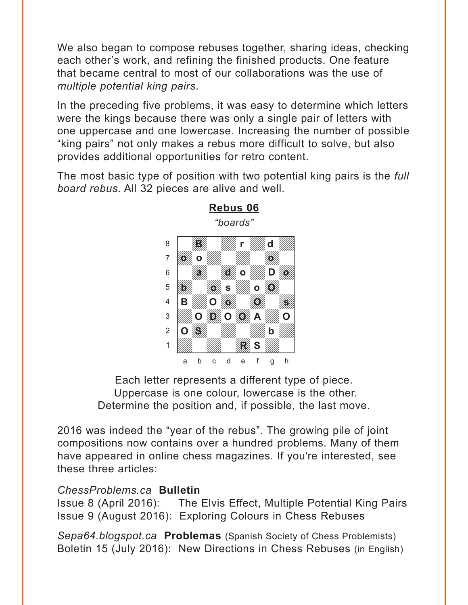<span id="page-4-0"></span>We also began to compose rebuses together, sharing ideas, checking each other's work, and refining the finished products. One feature that became central to most of our collaborations was the use of *multiple potential king pairs*.

In the preceding five problems, it was easy to determine which letters were the kings because there was only a single pair of letters with one uppercase and one lowercase. Increasing the number of possible "king pairs" not only makes a rebus more difficult to solve, but also provides additional opportunities for retro content.

The most basic type of position with two potential king pairs is the *full board rebus*. All 32 pieces are alive and well.



**[Rebus 06](#page-12-0)** *"boards"*

Each letter represents a different type of piece. Uppercase is one colour, lowercase is the other. Determine the position and, if possible, the last move.

2016 was indeed the "year of the rebus". The growing pile of joint compositions now contains over a hundred problems. Many of them have appeared in online chess magazines. If you're interested, see these three articles:

#### *ChessProblems.ca* **Bulletin**

Issue 8 (April 2016): The Elvis Effect, Multiple Potential King Pairs Issue 9 (August 2016): Exploring Colours in Chess Rebuses

*Sepa64.blogspot.ca* **Problemas** (Spanish Society of Chess Problemists) Boletin 15 (July 2016): New Directions in Chess Rebuses (in English)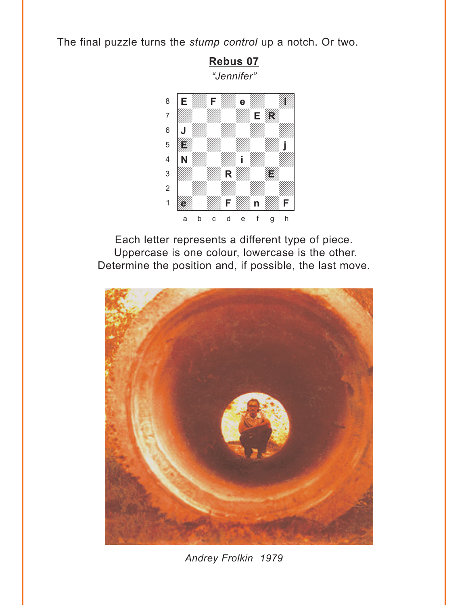<span id="page-5-0"></span>The final puzzle turns the *stump control* up a notch. Or two.



Each letter represents a different type of piece. Uppercase is one colour, lowercase is the other. Determine the position and, if possible, the last move.



*Andrey Frolkin 1979*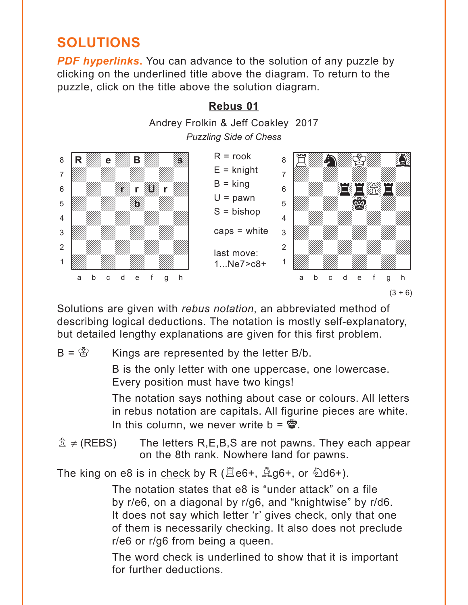# <span id="page-6-0"></span>**SOLUTIONS**

**PDF hyperlinks.** You can advance to the solution of any puzzle by clicking on the underlined title above the diagram. To return to the puzzle, click on the title above the solution diagram.



Solutions are given with *rebus notation*, an abbreviated method of describing logical deductions. The notation is mostly self-explanatory, but detailed lengthy explanations are given for this first problem.

#### $B = \overset{\text{def}}{\otimes}$  Kings are represented by the letter B/b.

B is the only letter with one uppercase, one lowercase. Every position must have two kings!

The notation says nothing about case or colours. All letters in rebus notation are capitals. All figurine pieces are white. In this column, we never write  $b = \mathbf{w}$ .

 $\hat{\mathbb{Z}}$  ≠ (REBS) The letters R,E,B,S are not pawns. They each appear on the 8th rank. Nowhere land for pawns.

The king on e8 is in check by R ( $\Xi$ e6+,  $\triangleq$ g6+, or  $\triangleq$ d6+).

The notation states that e8 is "under attack" on a file by r/e6, on a diagonal by r/g6, and "knightwise" by r/d6. It does not say which letter 'r' gives check, only that one of them is necessarily checking. It also does not preclude r/e6 or r/g6 from being a queen.

The word check is underlined to show that it is important for further deductions.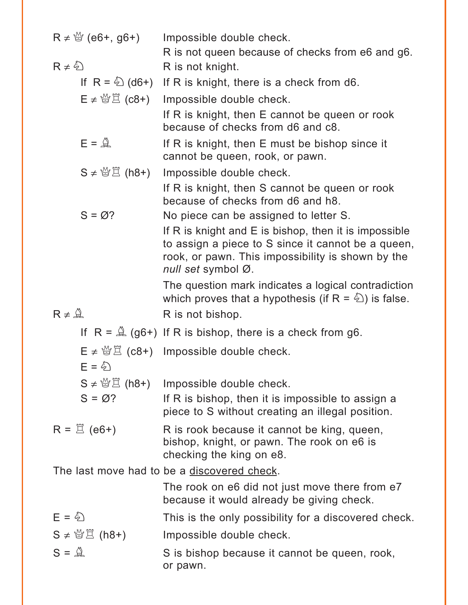| $R \neq \frac{10}{3}$ (e6+, g6+)     | Impossible double check.                                                                                                                                                                 |  |  |  |  |
|--------------------------------------|------------------------------------------------------------------------------------------------------------------------------------------------------------------------------------------|--|--|--|--|
| $R \neq \frac{\sqrt[3]{2}}{2}$       | R is not queen because of checks from e6 and g6.<br>R is not knight.                                                                                                                     |  |  |  |  |
|                                      | If $R = \&seteq$ (d6+) If R is knight, there is a check from d6.                                                                                                                         |  |  |  |  |
| $E \neq \frac{M}{2}$ (c8+)           | Impossible double check.                                                                                                                                                                 |  |  |  |  |
|                                      | If R is knight, then E cannot be queen or rook<br>because of checks from d6 and c8.                                                                                                      |  |  |  |  |
| $E = \mathcal{Q}$                    | If R is knight, then E must be bishop since it<br>cannot be queen, rook, or pawn.                                                                                                        |  |  |  |  |
| $S \neq \mathcal{B} \boxtimes (h8+)$ | Impossible double check.                                                                                                                                                                 |  |  |  |  |
|                                      | If R is knight, then S cannot be queen or rook<br>because of checks from d6 and h8.                                                                                                      |  |  |  |  |
| $S = \varnothing$ ?                  | No piece can be assigned to letter S.                                                                                                                                                    |  |  |  |  |
|                                      | If R is knight and $E$ is bishop, then it is impossible<br>to assign a piece to S since it cannot be a queen,<br>rook, or pawn. This impossibility is shown by the<br>null set symbol Ø. |  |  |  |  |
|                                      | The question mark indicates a logical contradiction<br>which proves that a hypothesis (if $R = \hat{\triangle}$ ) is false.                                                              |  |  |  |  |
| $R \neq \mathcal{Q}$                 | R is not bishop.                                                                                                                                                                         |  |  |  |  |
|                                      | If $R = \mathbb{Q}(g6+)$ If R is bishop, there is a check from g6.                                                                                                                       |  |  |  |  |
| $E = \xi$                            | $E \neq \frac{M}{2}$ (c8+) Impossible double check.                                                                                                                                      |  |  |  |  |
|                                      | $S \neq \frac{M}{Q} \Xi$ (h8+) Impossible double check.                                                                                                                                  |  |  |  |  |
| $S = \varnothing$ ?                  | If R is bishop, then it is impossible to assign a<br>piece to S without creating an illegal position.                                                                                    |  |  |  |  |
| $R = \Box$ (e6+)                     | R is rook because it cannot be king, queen,<br>bishop, knight, or pawn. The rook on e6 is<br>checking the king on e8.                                                                    |  |  |  |  |
|                                      | The last move had to be a discovered check.                                                                                                                                              |  |  |  |  |
|                                      | The rook on e6 did not just move there from e7<br>because it would already be giving check.                                                                                              |  |  |  |  |
| $E = \xi$                            | This is the only possibility for a discovered check.                                                                                                                                     |  |  |  |  |
| $S \neq \mathcal{B} \boxtimes (h8+)$ | Impossible double check.                                                                                                                                                                 |  |  |  |  |
| $S = \mathbb{Q}$                     | S is bishop because it cannot be queen, rook,<br>or pawn.                                                                                                                                |  |  |  |  |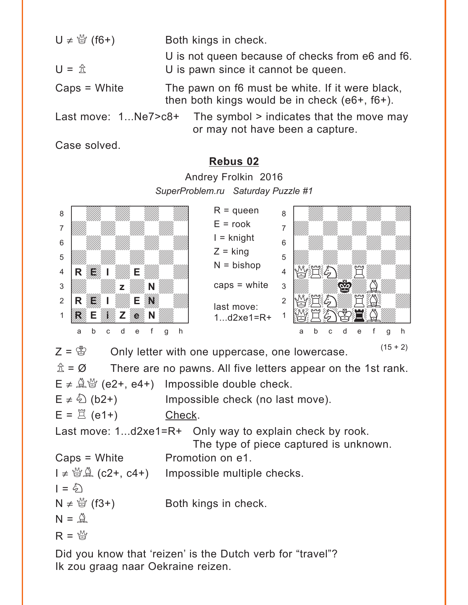<span id="page-8-0"></span>

| $U \neq \mathcal{Q}$ (f6+) | Both kings in check.                                                                                  |  |  |  |  |
|----------------------------|-------------------------------------------------------------------------------------------------------|--|--|--|--|
| $U = \mathbb{A}$           | U is not queen because of checks from e6 and f6.<br>U is pawn since it cannot be queen.               |  |  |  |  |
| $Caps = White$             | The pawn on f6 must be white. If it were black,<br>then both kings would be in check (e6+, f6+).      |  |  |  |  |
|                            | Last move: $1Ne7 > c8+$ The symbol $>$ indicates that the move may<br>or may not have been a capture. |  |  |  |  |

Case solved.

#### **[Rebus 02](#page-1-0)**

Andrey Frolkin 2016 *SuperProblem.ru Saturday Puzzle #1* w\_\_\_\_\_\_\_\_w where  $\frac{w}{2}$ 

| 8                                                                                                |                                                         |                  | $R =$ queen                            | 8              |   |  |   |   |  |   |   |  |
|--------------------------------------------------------------------------------------------------|---------------------------------------------------------|------------------|----------------------------------------|----------------|---|--|---|---|--|---|---|--|
| 7                                                                                                |                                                         |                  | $E = \text{rook}$                      | $\overline{7}$ |   |  |   |   |  |   |   |  |
| 6                                                                                                |                                                         |                  | $I =$ knight                           | 6              |   |  |   |   |  |   |   |  |
| 5                                                                                                |                                                         |                  | $Z =$ king                             | 5              |   |  |   |   |  |   |   |  |
| 4                                                                                                | Е.                                                      |                  | $N = b$ ishop                          | 4              |   |  |   |   |  |   |   |  |
| 3                                                                                                |                                                         |                  | caps $=$ white                         | 3              |   |  |   |   |  |   |   |  |
|                                                                                                  |                                                         |                  |                                        |                |   |  |   |   |  |   |   |  |
| $\overline{2}$                                                                                   |                                                         |                  | last move:                             | $\overline{2}$ |   |  |   |   |  |   |   |  |
|                                                                                                  |                                                         |                  | $1d2xe1 = R +$                         |                |   |  |   |   |  |   |   |  |
|                                                                                                  | b<br>d<br>C<br>e<br>a                                   | q<br>h           |                                        |                | а |  | U | е |  | g | h |  |
| $(15 + 2)$<br>$Z = \circledS$<br>Only letter with one uppercase, one lowercase.                  |                                                         |                  |                                        |                |   |  |   |   |  |   |   |  |
|                                                                                                  |                                                         |                  |                                        |                |   |  |   |   |  |   |   |  |
| $\hat{\mathbb{Z}} = \varnothing$<br>There are no pawns. All five letters appear on the 1st rank. |                                                         |                  |                                        |                |   |  |   |   |  |   |   |  |
|                                                                                                  | $E \neq \mathbb{Q}$ (e2+, e4+) Impossible double check. |                  |                                        |                |   |  |   |   |  |   |   |  |
|                                                                                                  | $E \neq \hat{\varphi}$ (b2+)                            |                  | Impossible check (no last move).       |                |   |  |   |   |  |   |   |  |
|                                                                                                  | $E = \Box$ (e1+)                                        | Check.           |                                        |                |   |  |   |   |  |   |   |  |
|                                                                                                  | Last move: 1d2xe1=R+ Only way to explain check by rook. |                  |                                        |                |   |  |   |   |  |   |   |  |
|                                                                                                  |                                                         |                  | The type of piece captured is unknown. |                |   |  |   |   |  |   |   |  |
|                                                                                                  | $Caps = White$                                          | Promotion on e1. |                                        |                |   |  |   |   |  |   |   |  |
| $I \neq \mathcal{Q}(\mathcal{Q}^2)$ (c2+, c4+) Impossible multiple checks.                       |                                                         |                  |                                        |                |   |  |   |   |  |   |   |  |
| $=$ $\&$                                                                                         |                                                         |                  |                                        |                |   |  |   |   |  |   |   |  |

 $N \neq \frac{M}{Q}$  (f3+) Both kings in check.

 $N = \mathbb{Q}$ 

$$
R = \mathcal{L}
$$

Did you know that 'reizen' is the Dutch verb for "travel"? Ik zou graag naar Oekraine reizen.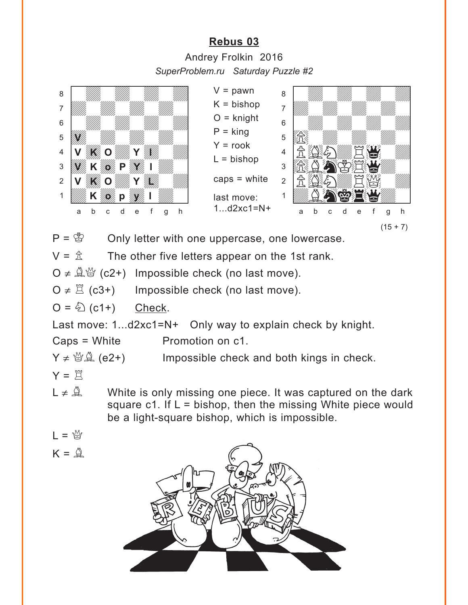## **[Rebus 03](#page-2-0)**

Andrey Frolkin 2016 *SuperProblem.ru Saturday Puzzle #2*

<span id="page-9-0"></span>

 $V = \hat{\mathbb{E}}$  The other five letters appear on the 1st rank.

O ≠  $\mathbb{Q}$   $\mathscr{C}$  (c2+) Impossible check (no last move).

 $O \neq \mathbb{Z}$  (c3+) Impossible check (no last move).

 $O = \bigotimes (c1+)$  Check.

Last move: 1...d2xc1=N+ Only way to explain check by knight.

Caps = White Promotion on c1.

 $Y \neq \mathcal{B}(\mathcal{A})$  (e2+) Impossible check and both kings in check.

$$
Y = \mathbb{E}
$$

- $L \neq \mathbb{Q}$  White is only missing one piece. It was captured on the dark square c1. If  $L =$  bishop, then the missing White piece would be a light-square bishop, which is impossible.
- $L = \frac{M}{2}$
- $K = \mathbb{Q}$

![](_page_9_Figure_15.jpeg)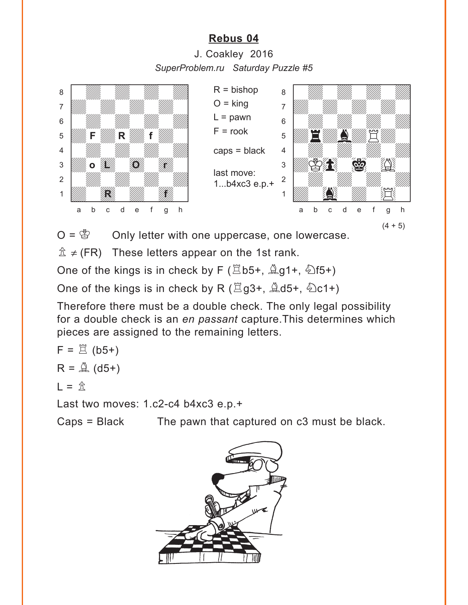### **[Rebus 04](#page-3-0)**

J. Coakley 2016 *SuperProblem.ru Saturday Puzzle #5*

<span id="page-10-0"></span>![](_page_10_Picture_2.jpeg)

 $O = \mathcal{B}$  Only letter with one uppercase, one lowercase.

 $\hat{\mathbb{Z}} \neq$  (FR) These letters appear on the 1st rank.

One of the kings is in check by F ( $\Xi$ b5+,  $\triangle$ g1+,  $\diamond$ f5+)

One of the kings is in check by R ( $\Xi$ g3+,  $\triangleq$ d5+,  $\triangleq$ c1+)

Therefore there must be a double check. The only legal possibility for a double check is an *en passant* capture.This determines which pieces are assigned to the remaining letters.

$$
F = \overset{\text{def}}{=} (b5+)
$$

$$
R = \overset{\text{def}}{=} (d5+)
$$

$$
L = \mathbf{\hat{\mathbb{E}}}
$$

Last two moves: 1.c2-c4 b4xc3 e.p.+

Caps = Black The pawn that captured on c3 must be black.

![](_page_10_Picture_12.jpeg)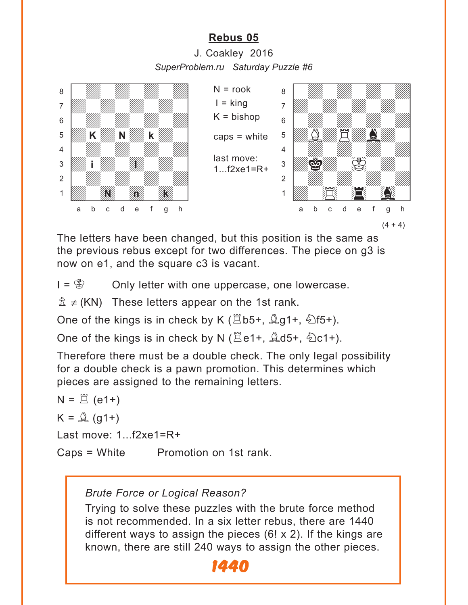### **[Rebus 05](#page-3-0)**

J. Coakley 2016 *SuperProblem.ru Saturday Puzzle #6*

<span id="page-11-0"></span>![](_page_11_Picture_2.jpeg)

The letters have been changed, but this position is the same as the previous rebus except for two differences. The piece on g3 is now on e1, and the square c3 is vacant.

 $I = \mathcal{B}$  Only letter with one uppercase, one lowercase.

 $\hat{\mathbb{Z}} \neq (KN)$  These letters appear on the 1st rank.

One of the kings is in check by K ( $\Xi$ b5+,  $\angle \Box$ g1+,  $\angle \Box$ f5+).

One of the kings is in check by N ( $\Xi$ e1+,  $\triangle$ d5+,  $\triangle$ c1+).

Therefore there must be a double check. The only legal possibility for a double check is a pawn promotion. This determines which pieces are assigned to the remaining letters.

```
N = \mathbb{E} (e1+)
K = \mathbb{Q} (g1+)
Last move: 1...f2xe1=R+ 
Caps = White Promotion on 1st rank.
```
#### *Brute Force or Logical Reason?*

Trying to solve these puzzles with the brute force method is not recommended. In a six letter rebus, there are 1440 different ways to assign the pieces  $(6! \times 2)$ . If the kings are known, there are still 240 ways to assign the other pieces.

![](_page_11_Picture_12.jpeg)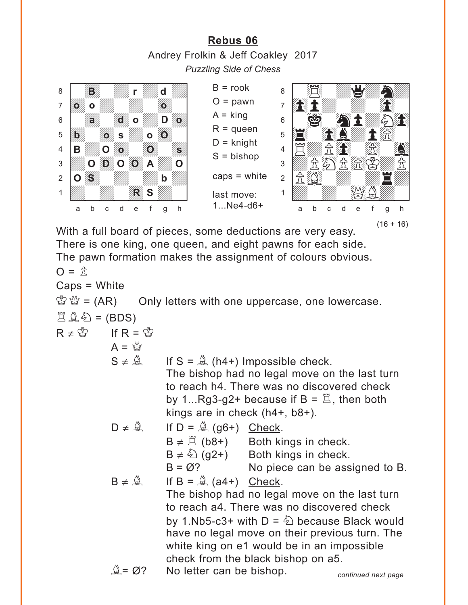<span id="page-12-0"></span>**[Rebus 06](#page-4-0)** Andrey Frolkin & Jeff Coakley 2017 *Puzzling Side of Chess*

![](_page_12_Picture_1.jpeg)

With a full board of pieces, some deductions are very easy. There is one king, one queen, and eight pawns for each side. The pawn formation makes the assignment of colours obvious.  $\Omega = \hat{\pi}$ Caps = White  $\mathbb{E} \mathbb{E} = (AR)$  Only letters with one uppercase, one lowercase.  $A \triangleq 1 - (BDS)$  $R \neq \overset{\circ}{\otimes}$  If  $R = \overset{\circ}{\otimes}$  $A = \mathbb{A}$  $S \neq \mathbb{Q}$  If  $S = \mathbb{Q}$  (h4+) Impossible check. The bishop had no legal move on the last turn to reach h4. There was no discovered check by 1...Rg3-g2+ because if  $B = \mathbb{Z}$ , then both kings are in check (h4+, b8+).  $D \neq \mathbb{Q}$  If  $D = \mathbb{Q}$  (g6+) Check.  $B \neq \mathbb{Z}$  (b8+) Both kings in check.  $B \neq \hat{\mathbb{Q}}$  (g2+) Both kings in check.  $B = \emptyset$ ? No piece can be assigned to B.  $B \neq \hat{A}$  If  $B = \hat{A}$  (a4+) Check. The bishop had no legal move on the last turn to reach a4. There was no discovered check by 1.Nb5-c3+ with  $D = \hat{\mathbb{Q}}$  because Black would have no legal move on their previous turn. The white king on e1 would be in an impossible check from the black bishop on a5.  $A = \emptyset$ ? No letter can be bishop.  $(16 + 16)$ *continued next page*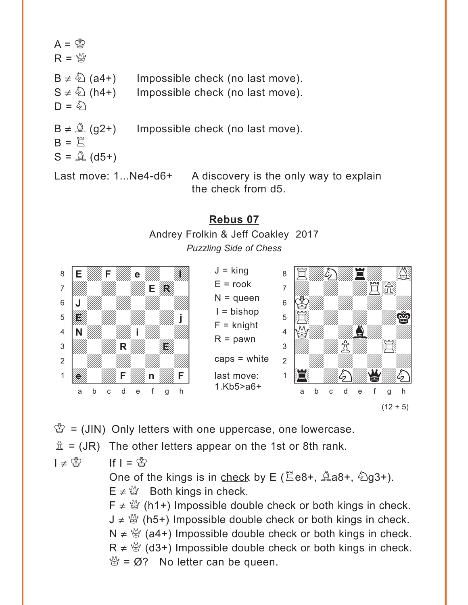<span id="page-13-0"></span>![](_page_13_Figure_0.jpeg)

the check from d5.

## **[Rebus 07](#page-5-0)**

Andrey Frolkin & Jeff Coakley 2017 *Puzzling Side of Chess*

![](_page_13_Picture_4.jpeg)

![](_page_13_Figure_5.jpeg)

 $(12 + 5)$ 

 $\mathcal{B} = (JIN)$  Only letters with one uppercase, one lowercase.

 $\hat{\mathbb{Z}}$  = (JR) The other letters appear on the 1st or 8th rank.

 $I \neq \overset{\circ}{\otimes}$  If  $I = \overset{\circ}{\otimes}$ 

One of the kings is in check by E ( $\Xi$ e8+,  $\triangle$ a8+,  $\triangle$ g3+).  $E \neq \mathcal{L}$  Both kings in check.

 $F \neq \frac{M}{Q}$  (h1+) Impossible double check or both kings in check.  $J \neq \mathcal{Q}$  (h5+) Impossible double check or both kings in check.  $N \neq \mathcal{Q}$  (a4+) Impossible double check or both kings in check.  $R \neq \mathcal{Q}$  (d3+) Impossible double check or both kings in check.  $\mathcal{Q} = \emptyset$ ? No letter can be queen.